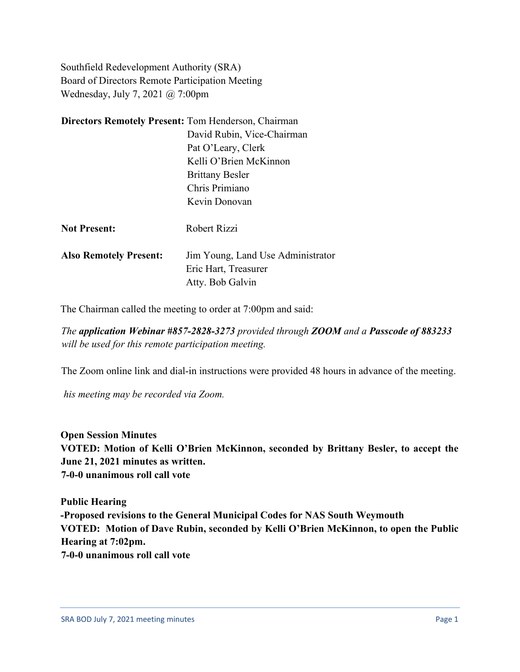Southfield Redevelopment Authority (SRA) Board of Directors Remote Participation Meeting Wednesday, July 7, 2021 @ 7:00pm

| <b>Directors Remotely Present: Tom Henderson, Chairman</b> |                                                                               |
|------------------------------------------------------------|-------------------------------------------------------------------------------|
|                                                            | David Rubin, Vice-Chairman                                                    |
|                                                            | Pat O'Leary, Clerk                                                            |
|                                                            | Kelli O'Brien McKinnon                                                        |
|                                                            | <b>Brittany Besler</b>                                                        |
|                                                            | Chris Primiano                                                                |
|                                                            | Kevin Donovan                                                                 |
| <b>Not Present:</b>                                        | Robert Rizzi                                                                  |
| <b>Also Remotely Present:</b>                              | Jim Young, Land Use Administrator<br>Eric Hart, Treasurer<br>Atty. Bob Galvin |
|                                                            |                                                                               |

The Chairman called the meeting to order at 7:00pm and said:

*The application Webinar #857-2828-3273 provided through ZOOM and a Passcode of 883233 will be used for this remote participation meeting.*

The Zoom online link and dial-in instructions were provided 48 hours in advance of the meeting.

*his meeting may be recorded via Zoom.*

**Open Session Minutes VOTED: Motion of Kelli O'Brien McKinnon, seconded by Brittany Besler, to accept the June 21, 2021 minutes as written. 7-0-0 unanimous roll call vote**

**Public Hearing -Proposed revisions to the General Municipal Codes for NAS South Weymouth VOTED: Motion of Dave Rubin, seconded by Kelli O'Brien McKinnon, to open the Public Hearing at 7:02pm. 7-0-0 unanimous roll call vote**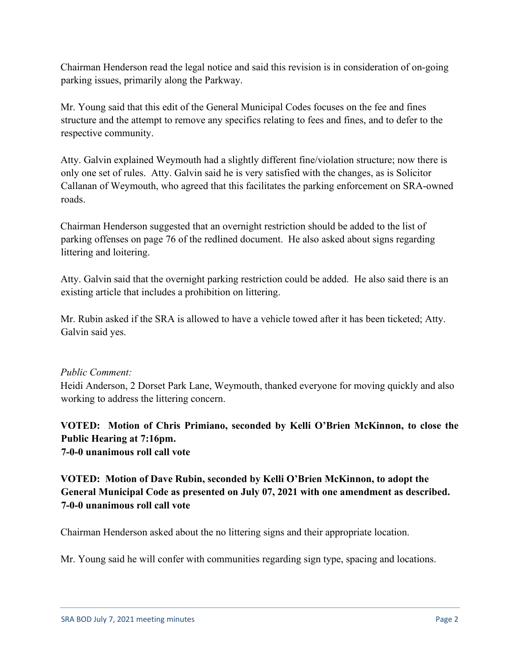Chairman Henderson read the legal notice and said this revision is in consideration of on-going parking issues, primarily along the Parkway.

Mr. Young said that this edit of the General Municipal Codes focuses on the fee and fines structure and the attempt to remove any specifics relating to fees and fines, and to defer to the respective community.

Atty. Galvin explained Weymouth had a slightly different fine/violation structure; now there is only one set of rules. Atty. Galvin said he is very satisfied with the changes, as is Solicitor Callanan of Weymouth, who agreed that this facilitates the parking enforcement on SRA-owned roads.

Chairman Henderson suggested that an overnight restriction should be added to the list of parking offenses on page 76 of the redlined document. He also asked about signs regarding littering and loitering.

Atty. Galvin said that the overnight parking restriction could be added. He also said there is an existing article that includes a prohibition on littering.

Mr. Rubin asked if the SRA is allowed to have a vehicle towed after it has been ticketed; Atty. Galvin said yes.

## *Public Comment:*

Heidi Anderson, 2 Dorset Park Lane, Weymouth, thanked everyone for moving quickly and also working to address the littering concern.

**VOTED: Motion of Chris Primiano, seconded by Kelli O'Brien McKinnon, to close the Public Hearing at 7:16pm. 7-0-0 unanimous roll call vote**

## **VOTED: Motion of Dave Rubin, seconded by Kelli O'Brien McKinnon, to adopt the General Municipal Code as presented on July 07, 2021 with one amendment as described. 7-0-0 unanimous roll call vote**

Chairman Henderson asked about the no littering signs and their appropriate location.

Mr. Young said he will confer with communities regarding sign type, spacing and locations.